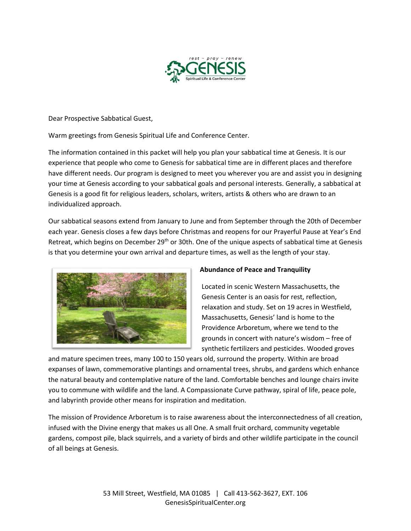

Dear Prospective Sabbatical Guest,

Warm greetings from Genesis Spiritual Life and Conference Center.

The information contained in this packet will help you plan your sabbatical time at Genesis. It is our experience that people who come to Genesis for sabbatical time are in different places and therefore have different needs. Our program is designed to meet you wherever you are and assist you in designing your time at Genesis according to your sabbatical goals and personal interests. Generally, a sabbatical at Genesis is a good fit for religious leaders, scholars, writers, artists & others who are drawn to an individualized approach.

Our sabbatical seasons extend from January to June and from September through the 20th of December each year. Genesis closes a few days before Christmas and reopens for our Prayerful Pause at Year's End Retreat, which begins on December 29<sup>th</sup> or 30th. One of the unique aspects of sabbatical time at Genesis is that you determine your own arrival and departure times, as well as the length of your stay.



## **Abundance of Peace and Tranquility**

Located in scenic Western Massachusetts, the Genesis Center is an oasis for rest, reflection, relaxation and study. Set on 19 acres in Westfield, Massachusetts, Genesis' land is home to the Providence Arboretum, where we tend to the grounds in concert with nature's wisdom – free of synthetic fertilizers and pesticides. Wooded groves

and mature specimen trees, many 100 to 150 years old, surround the property. Within are broad expanses of lawn, commemorative plantings and ornamental trees, shrubs, and gardens which enhance the natural beauty and contemplative nature of the land. Comfortable benches and lounge chairs invite you to commune with wildlife and the land. A Compassionate Curve pathway, spiral of life, peace pole, and labyrinth provide other means for inspiration and meditation.

The mission of Providence Arboretum is to raise awareness about the interconnectedness of all creation, infused with the Divine energy that makes us all One. A small fruit orchard, community vegetable gardens, compost pile, black squirrels, and a variety of birds and other wildlife participate in the council of all beings at Genesis.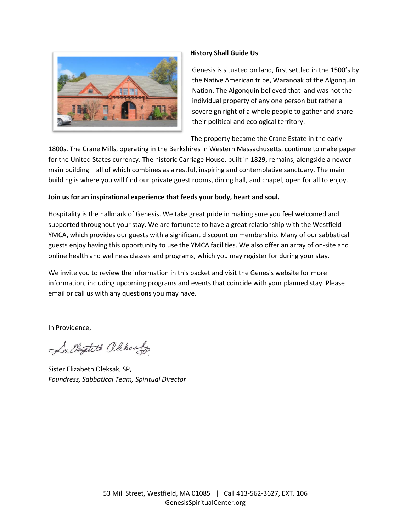

#### **History Shall Guide Us**

Genesis is situated on land, first settled in the 1500's by the Native American tribe, Waranoak of the Algonquin Nation. The Algonquin believed that land was not the individual property of any one person but rather a sovereign right of a whole people to gather and share their political and ecological territory.

The property became the Crane Estate in the early

1800s. The Crane Mills, operating in the Berkshires in Western Massachusetts, continue to make paper for the United States currency. The historic Carriage House, built in 1829, remains, alongside a newer main building – all of which combines as a restful, inspiring and contemplative sanctuary. The main building is where you will find our private guest rooms, dining hall, and chapel, open for all to enjoy.

# **Join us for an inspirational experience that feeds your body, heart and soul.**

Hospitality is the hallmark of Genesis. We take great pride in making sure you feel welcomed and supported throughout your stay. We are fortunate to have a great relationship with the Westfield YMCA, which provides our guests with a significant discount on membership. Many of our sabbatical guests enjoy having this opportunity to use the YMCA facilities. We also offer an array of on-site and online health and wellness classes and programs, which you may register for during your stay.

We invite you to review the information in this packet and visit the Genesis website for more information, including upcoming programs and events that coincide with your planned stay. Please email or call us with any questions you may have.

In Providence,

Sr. Elizabeth Olehsalo

Sister Elizabeth Oleksak, SP, *Foundress, Sabbatical Team, Spiritual Director*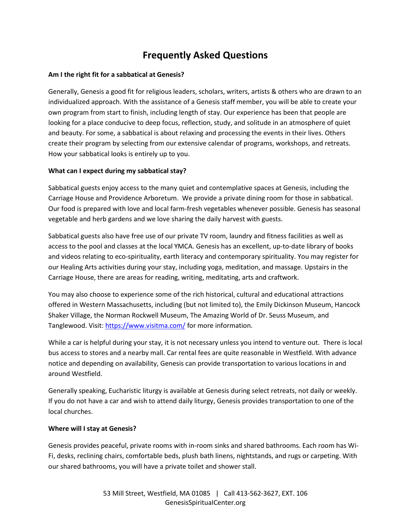# **Frequently Asked Questions**

#### **Am I the right fit for a sabbatical at Genesis?**

Generally, Genesis a good fit for religious leaders, scholars, writers, artists & others who are drawn to an individualized approach. With the assistance of a Genesis staff member, you will be able to create your own program from start to finish, including length of stay. Our experience has been that people are looking for a place conducive to deep focus, reflection, study, and solitude in an atmosphere of quiet and beauty. For some, a sabbatical is about relaxing and processing the events in their lives. Others create their program by selecting from our extensive calendar of programs, workshops, and retreats. How your sabbatical looks is entirely up to you.

#### **What can I expect during my sabbatical stay?**

Sabbatical guests enjoy access to the many quiet and contemplative spaces at Genesis, including the Carriage House and Providence Arboretum. We provide a private dining room for those in sabbatical. Our food is prepared with love and local farm-fresh vegetables whenever possible. Genesis has seasonal vegetable and herb gardens and we love sharing the daily harvest with guests.

Sabbatical guests also have free use of our private TV room, laundry and fitness facilities as well as access to the pool and classes at the local YMCA. Genesis has an excellent, up-to-date library of books and videos relating to eco-spirituality, earth literacy and contemporary spirituality. You may register for our Healing Arts activities during your stay, including yoga, meditation, and massage. Upstairs in the Carriage House, there are areas for reading, writing, meditating, arts and craftwork.

You may also choose to experience some of the rich historical, cultural and educational attractions offered in Western Massachusetts, including (but not limited to), the Emily Dickinson Museum, Hancock Shaker Village, the Norman Rockwell Museum, The Amazing World of Dr. Seuss Museum, and Tanglewood. Visit:<https://www.visitma.com/> for more information.

While a car is helpful during your stay, it is not necessary unless you intend to venture out. There is local bus access to stores and a nearby mall. Car rental fees are quite reasonable in Westfield. With advance notice and depending on availability, Genesis can provide transportation to various locations in and around Westfield.

Generally speaking, Eucharistic liturgy is available at Genesis during select retreats, not daily or weekly. If you do not have a car and wish to attend daily liturgy, Genesis provides transportation to one of the local churches.

#### **Where will I stay at Genesis?**

Genesis provides peaceful, private rooms with in-room sinks and shared bathrooms. Each room has Wi-Fi, desks, reclining chairs, comfortable beds, plush bath linens, nightstands, and rugs or carpeting. With our shared bathrooms, you will have a private toilet and shower stall.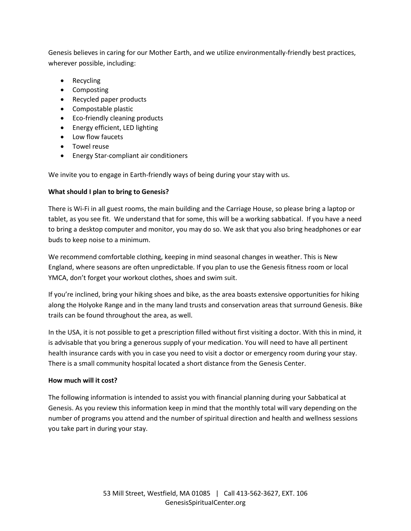Genesis believes in caring for our Mother Earth, and we utilize environmentally-friendly best practices, wherever possible, including:

- Recycling
- Composting
- Recycled paper products
- Compostable plastic
- Eco-friendly cleaning products
- Energy efficient, LED lighting
- Low flow faucets
- Towel reuse
- Energy Star-compliant air conditioners

We invite you to engage in Earth-friendly ways of being during your stay with us.

# **What should I plan to bring to Genesis?**

There is Wi-Fi in all guest rooms, the main building and the Carriage House, so please bring a laptop or tablet, as you see fit. We understand that for some, this will be a working sabbatical. If you have a need to bring a desktop computer and monitor, you may do so. We ask that you also bring headphones or ear buds to keep noise to a minimum.

We recommend comfortable clothing, keeping in mind seasonal changes in weather. This is New England, where seasons are often unpredictable. If you plan to use the Genesis fitness room or local YMCA, don't forget your workout clothes, shoes and swim suit.

If you're inclined, bring your hiking shoes and bike, as the area boasts extensive opportunities for hiking along the Holyoke Range and in the many land trusts and conservation areas that surround Genesis. Bike trails can be found throughout the area, as well.

In the USA, it is not possible to get a prescription filled without first visiting a doctor. With this in mind, it is advisable that you bring a generous supply of your medication. You will need to have all pertinent health insurance cards with you in case you need to visit a doctor or emergency room during your stay. There is a small community hospital located a short distance from the Genesis Center.

## **How much will it cost?**

The following information is intended to assist you with financial planning during your Sabbatical at Genesis. As you review this information keep in mind that the monthly total will vary depending on the number of programs you attend and the number of spiritual direction and health and wellness sessions you take part in during your stay.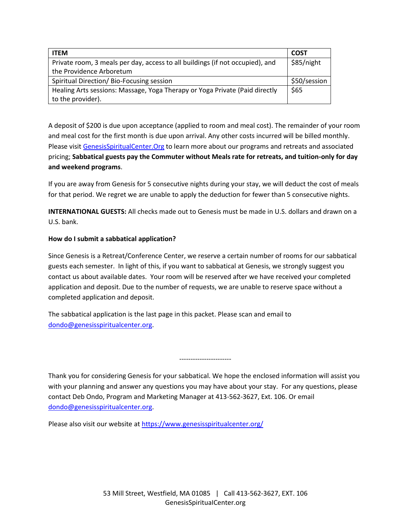| <b>ITEM</b>                                                                   | COST         |
|-------------------------------------------------------------------------------|--------------|
| Private room, 3 meals per day, access to all buildings (if not occupied), and | \$85/night   |
| the Providence Arboretum                                                      |              |
| Spiritual Direction/ Bio-Focusing session                                     | \$50/session |
| Healing Arts sessions: Massage, Yoga Therapy or Yoga Private (Paid directly   | \$65         |
| to the provider).                                                             |              |

A deposit of \$200 is due upon acceptance (applied to room and meal cost). The remainder of your room and meal cost for the first month is due upon arrival. Any other costs incurred will be billed monthly. Please visi[t GenesisSpiritualCenter.Org](https://www.genesisspiritualcenter.org/) to learn more about our programs and retreats and associated pricing; **Sabbatical guests pay the Commuter without Meals rate for retreats, and tuition-only for day and weekend programs**.

If you are away from Genesis for 5 consecutive nights during your stay, we will deduct the cost of meals for that period. We regret we are unable to apply the deduction for fewer than 5 consecutive nights.

**INTERNATIONAL GUESTS:** All checks made out to Genesis must be made in U.S. dollars and drawn on a U.S. bank.

#### **How do I submit a sabbatical application?**

Since Genesis is a Retreat/Conference Center, we reserve a certain number of rooms for our sabbatical guests each semester. In light of this, if you want to sabbatical at Genesis, we strongly suggest you contact us about available dates. Your room will be reserved after we have received your completed application and deposit. Due to the number of requests, we are unable to reserve space without a completed application and deposit.

The sabbatical application is the last page in this packet. Please scan and email to [dondo@genesisspiritualcenter.org.](mailto:dondo@genesisspiritualcenter.org)

Thank you for considering Genesis for your sabbatical. We hope the enclosed information will assist you with your planning and answer any questions you may have about your stay. For any questions, please contact Deb Ondo, Program and Marketing Manager at 413-562-3627, Ext. 106. Or email [dondo@genesisspiritualcenter.org.](mailto:dondo@genesisspiritualcenter.org)

-----------------------

Please also visit our website at<https://www.genesisspiritualcenter.org/>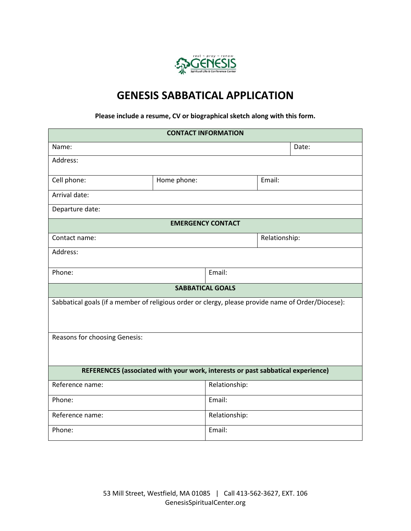

# **GENESIS SABBATICAL APPLICATION**

# **Please include a resume, CV or biographical sketch along with this form.**

| <b>CONTACT INFORMATION</b>                                                                         |             |                         |        |               |  |  |  |  |  |
|----------------------------------------------------------------------------------------------------|-------------|-------------------------|--------|---------------|--|--|--|--|--|
| Name:                                                                                              |             |                         |        | Date:         |  |  |  |  |  |
| Address:                                                                                           |             |                         |        |               |  |  |  |  |  |
| Cell phone:                                                                                        | Home phone: |                         | Email: |               |  |  |  |  |  |
| Arrival date:                                                                                      |             |                         |        |               |  |  |  |  |  |
| Departure date:                                                                                    |             |                         |        |               |  |  |  |  |  |
| <b>EMERGENCY CONTACT</b>                                                                           |             |                         |        |               |  |  |  |  |  |
| Contact name:                                                                                      |             |                         |        | Relationship: |  |  |  |  |  |
| Address:                                                                                           |             |                         |        |               |  |  |  |  |  |
| Phone:                                                                                             |             | Email:                  |        |               |  |  |  |  |  |
|                                                                                                    |             | <b>SABBATICAL GOALS</b> |        |               |  |  |  |  |  |
| Sabbatical goals (if a member of religious order or clergy, please provide name of Order/Diocese): |             |                         |        |               |  |  |  |  |  |
| Reasons for choosing Genesis:                                                                      |             |                         |        |               |  |  |  |  |  |
| REFERENCES (associated with your work, interests or past sabbatical experience)                    |             |                         |        |               |  |  |  |  |  |
| Reference name:                                                                                    |             | Relationship:           |        |               |  |  |  |  |  |
| Phone:                                                                                             |             | Email:                  |        |               |  |  |  |  |  |
| Reference name:                                                                                    |             | Relationship:           |        |               |  |  |  |  |  |
| Phone:                                                                                             |             | Email:                  |        |               |  |  |  |  |  |